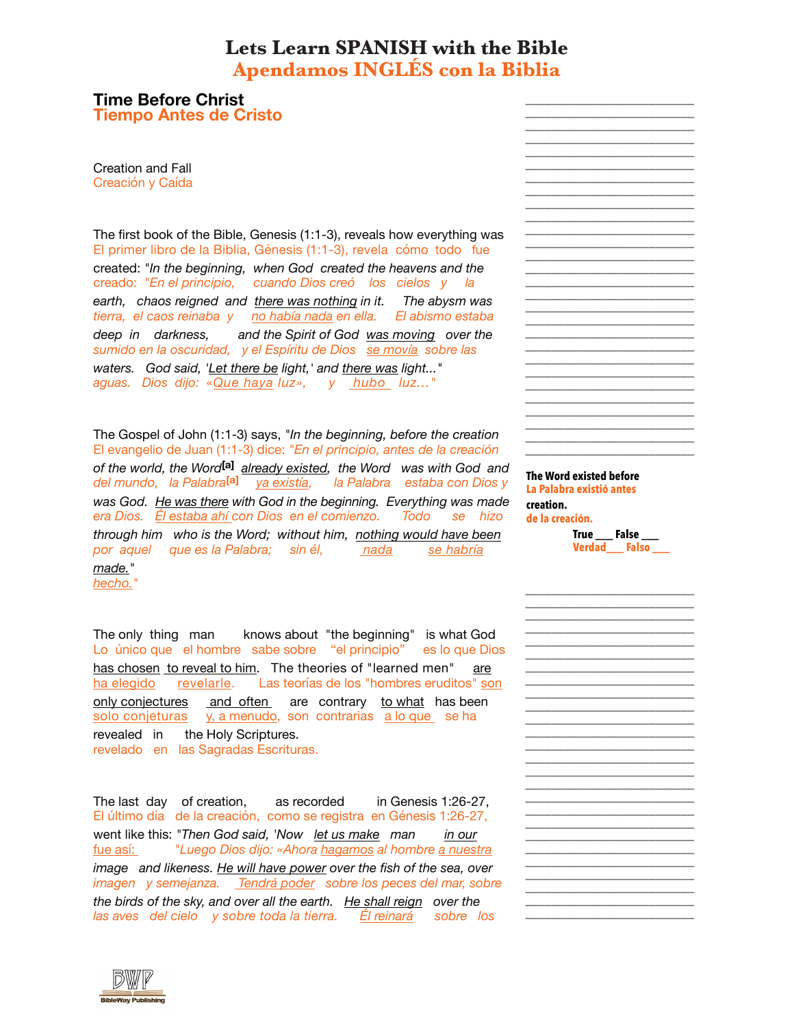## **Apendamos INGLÉS con la Biblia Lets Learn SPANISH with the Bible**

**Time Before Christ**

**Tiempo Antes de Cristo**

Creación y Caída Creation and Fall

El primer libro de la Biblia, Génesis (1:1-3), revela cómo todo fue creado: *"En el principio, cuando Dios creó los cielos y la tierra, el caos reinaba y no había nada en ella. El abismo estaba sumido en la oscuridad, y el Espíritu de Dios se movía sobre las aguas. Dios dijo: «Que haya luz», y hubo luz..."* The first book of the Bible, Genesis (1:1-3), reveals how everything was created: *"In the beginning, when God created the heavens and the earth, chaos reigned and there was nothing in it. The abysm was deep in darkness, and the Spirit of God was moving over the waters. God said, 'Let there be light,' and there was light..."*

El evangelio de Juan (1:1-3) dice: *"En el principio, antes de la creación del mundo, la Palabra***[a]** *ya existía, la Palabra estaba con Dios y era Dios. Él estaba ahí con Dios en el comienzo. Todo se hizo por aquel que es la Palabra; sin él, nada se habría* The Gospel of John (1:1-3) says, *"In the beginning, before the creation of the world, the Word***[a]** *already existed, the Word was with God and was God. He was there with God in the beginning. Everything was made through him who is the Word; without him, nothing would have been made."*

*hecho."*

Lo único que el hombre sabe sobre "el principio" es lo que Dios ha elegido revelarle. Las teorías de los "hombres eruditos" son solo conjeturas y, a menudo, son contrarias a lo que se ha revelado en las Sagradas Escrituras. The only thing man knows about "the beginning" is what God has chosen to reveal to him. The theories of "learned men" are only conjectures and often are contrary to what has been revealed in the Holy Scriptures.

El último día de la creación, como se registra en Génesis 1:26-27, fue así: *"Luego Dios dijo: «Ahora hagamos al hombre a nuestra imagen y semejanza. Tendrá poder sobre los peces del mar, sobre las aves del cielo y sobre toda la tierra. Él reinará sobre los* The last day of creation, as recorded in Genesis 1:26-27, went like this: *"Then God said, 'Now let us make man in our image and likeness. He will have power over the fish of the sea, over the birds of the sky, and over all the earth. He shall reign over the*

**The Word existed before creation. La Palabra existió antes de la creación.**

> **True \_\_\_ False \_\_\_ Verdad\_\_\_ Falso \_\_\_**

**\_\_\_\_\_\_\_\_\_\_\_\_\_\_\_\_\_\_\_\_\_\_\_\_\_\_ \_\_\_\_\_\_\_\_\_\_\_\_\_\_\_\_\_\_\_\_\_\_\_\_\_\_ \_\_\_\_\_\_\_\_\_\_\_\_\_\_\_\_\_\_\_\_\_\_\_\_\_\_ \_\_\_\_\_\_\_\_\_\_\_\_\_\_\_\_\_\_\_\_\_\_\_\_\_\_ \_\_\_\_\_\_\_\_\_\_\_\_\_\_\_\_\_\_\_\_\_\_\_\_\_\_ \_\_\_\_\_\_\_\_\_\_\_\_\_\_\_\_\_\_\_\_\_\_\_\_\_\_ \_\_\_\_\_\_\_\_\_\_\_\_\_\_\_\_\_\_\_\_\_\_\_\_\_\_ \_\_\_\_\_\_\_\_\_\_\_\_\_\_\_\_\_\_\_\_\_\_\_\_\_\_ \_\_\_\_\_\_\_\_\_\_\_\_\_\_\_\_\_\_\_\_\_\_\_\_\_\_ \_\_\_\_\_\_\_\_\_\_\_\_\_\_\_\_\_\_\_\_\_\_\_\_\_\_ \_\_\_\_\_\_\_\_\_\_\_\_\_\_\_\_\_\_\_\_\_\_\_\_\_\_ \_\_\_\_\_\_\_\_\_\_\_\_\_\_\_\_\_\_\_\_\_\_\_\_\_\_ \_\_\_\_\_\_\_\_\_\_\_\_\_\_\_\_\_\_\_\_\_\_\_\_\_\_ \_\_\_\_\_\_\_\_\_\_\_\_\_\_\_\_\_\_\_\_\_\_\_\_\_\_ \_\_\_\_\_\_\_\_\_\_\_\_\_\_\_\_\_\_\_\_\_\_\_\_\_\_ \_\_\_\_\_\_\_\_\_\_\_\_\_\_\_\_\_\_\_\_\_\_\_\_\_\_ \_\_\_\_\_\_\_\_\_\_\_\_\_\_\_\_\_\_\_\_\_\_\_\_\_\_ \_\_\_\_\_\_\_\_\_\_\_\_\_\_\_\_\_\_\_\_\_\_\_\_\_\_ \_\_\_\_\_\_\_\_\_\_\_\_\_\_\_\_\_\_\_\_\_\_\_\_\_\_ \_\_\_\_\_\_\_\_\_\_\_\_\_\_\_\_\_\_\_\_\_\_\_\_\_\_ \_\_\_\_\_\_\_\_\_\_\_\_\_\_\_\_\_\_\_\_\_\_\_\_\_\_ \_\_\_\_\_\_\_\_\_\_\_\_\_\_\_\_\_\_\_\_\_\_\_\_\_\_ \_\_\_\_\_\_\_\_\_\_\_\_\_\_\_\_\_\_\_\_\_\_\_\_\_\_ \_\_\_\_\_\_\_\_\_\_\_\_\_\_\_\_\_\_\_\_\_\_\_\_\_\_ \_\_\_\_\_\_\_\_\_\_\_\_\_\_\_\_\_\_\_\_\_\_\_\_\_\_ \_\_\_\_\_\_\_\_\_\_\_\_\_\_\_\_\_\_\_\_\_\_\_\_\_\_ \_\_\_\_\_\_\_\_\_\_\_\_\_\_\_\_\_\_\_\_\_\_\_\_\_\_ \_\_\_\_\_\_\_\_\_\_\_\_\_\_\_\_\_\_\_\_\_\_\_\_\_\_**



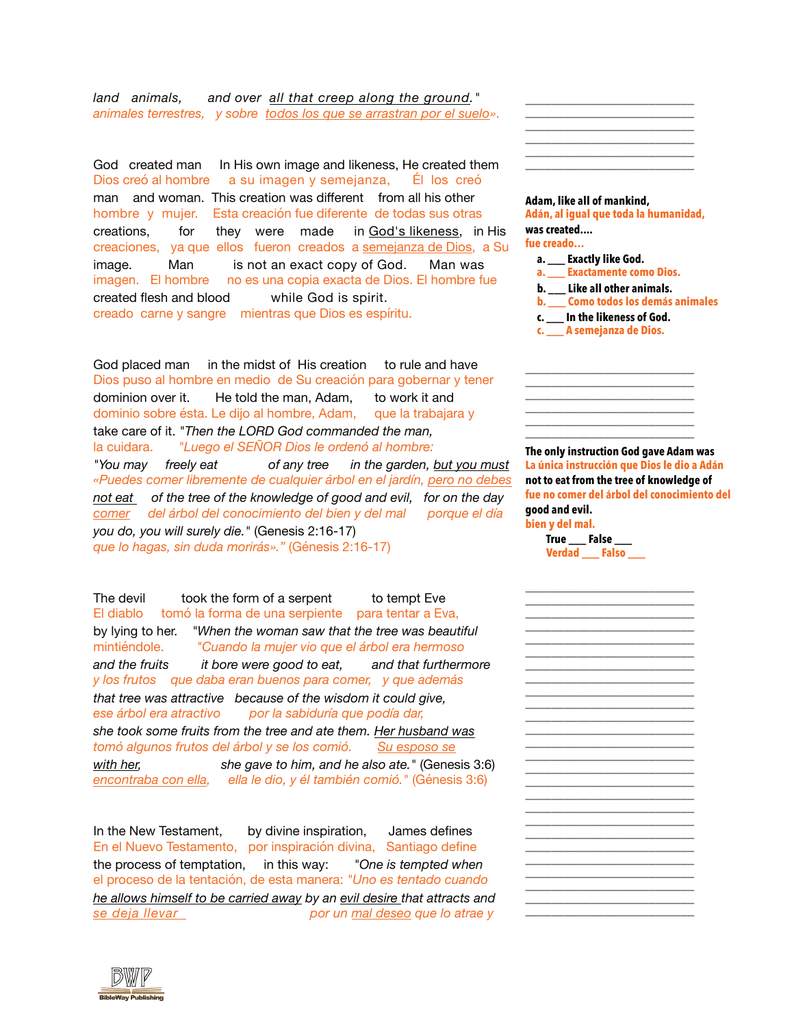*animales terrestres, y sobre todos los que se arrastran por el suelo»*. *land animals, and over all that creep along the ground."*

Dios creó al hombre a su imagen y semejanza, Él los creó hombre y mujer. Esta creación fue diferente de todas sus otras creaciones, ya que ellos fueron creados a semejanza de Dios, a Su imagen. El hombre no es una copia exacta de Dios. El hombre fue creado carne y sangre mientras que Dios es espíritu. God created man In His own image and likeness, He created them man and woman. This creation was different from all his other creations, for they were made in God's likeness, in His image. Man is not an exact copy of God. Man was created flesh and blood while God is spirit.

Dios puso al hombre en medio de Su creación para gobernar y tener dominio sobre ésta. Le dijo al hombre, Adam, que la trabajara y la cuidara. *"Luego el SEÑOR Dios le ordenó al hombre: «Puedes comer libremente de cualquier árbol en el jardín, pero no debes comer del árbol del conocimiento del bien y del mal porque el día que lo hagas, sin duda morirás»."* (Génesis 2:16-17) God placed man in the midst of His creation to rule and have dominion over it. He told the man, Adam, to work it and take care of it. *"Then the LORD God commanded the man, "You may freely eat of any tree in the garden, but you must not eat of the tree of the knowledge of good and evil, for on the day you do, you will surely die."* (Genesis 2:16-17)

El diablo tomó la forma de una serpiente para tentar a Eva, mintiéndole. *"Cuando la mujer vio que el árbol era hermoso y los frutos que daba eran buenos para comer, y que además ese árbol era atractivo por la sabiduría que podía dar, tomó algunos frutos del árbol y se los comió. Su esposo se encontraba con ella, ella le dio, y él también comió."* (Génesis 3:6) The devil took the form of a serpent to tempt Eve by lying to her. *"When the woman saw that the tree was beautiful and the fruits it bore were good to eat, and that furthermore that tree was attractive because of the wisdom it could give, she took some fruits from the tree and ate them. Her husband was with her, she gave to him, and he also ate."* (Genesis 3:6)

En el Nuevo Testamento, por inspiración divina, Santiago define el proceso de la tentación, de esta manera: *"Uno es tentado cuando se deja llevar por un mal deseo que lo atrae y* In the New Testament, by divine inspiration, James defines the process of temptation, in this way: *"One is tempted when he allows himself to be carried away by an evil desire that attracts and*



**Adán, al igual que toda la humanidad, fue creado… a. \_\_\_ Exactamente como Dios. b. \_\_\_ Como todos los demás animales c. \_\_\_ A semejanza de Dios. Adam, like all of mankind, was created.... a. \_\_\_ Exactly like God. b. \_\_\_ Like all other animals. c. \_\_\_ In the likeness of God.**

**\_\_\_\_\_\_\_\_\_\_\_\_\_\_\_\_\_\_\_\_\_\_\_\_\_\_ \_\_\_\_\_\_\_\_\_\_\_\_\_\_\_\_\_\_\_\_\_\_\_\_\_\_ \_\_\_\_\_\_\_\_\_\_\_\_\_\_\_\_\_\_\_\_\_\_\_\_\_\_ \_\_\_\_\_\_\_\_\_\_\_\_\_\_\_\_\_\_\_\_\_\_\_\_\_\_ \_\_\_\_\_\_\_\_\_\_\_\_\_\_\_\_\_\_\_\_\_\_\_\_\_\_ \_\_\_\_\_\_\_\_\_\_\_\_\_\_\_\_\_\_\_\_\_\_\_\_\_\_**

**The only instruction God gave Adam was not to eat from the tree of knowledge of good and evil. La única instrucción que Dios le dio a Adán fue no comer del árbol del conocimiento del bien y del mal.**

**True** False **Verdad \_\_\_ Falso \_\_\_**



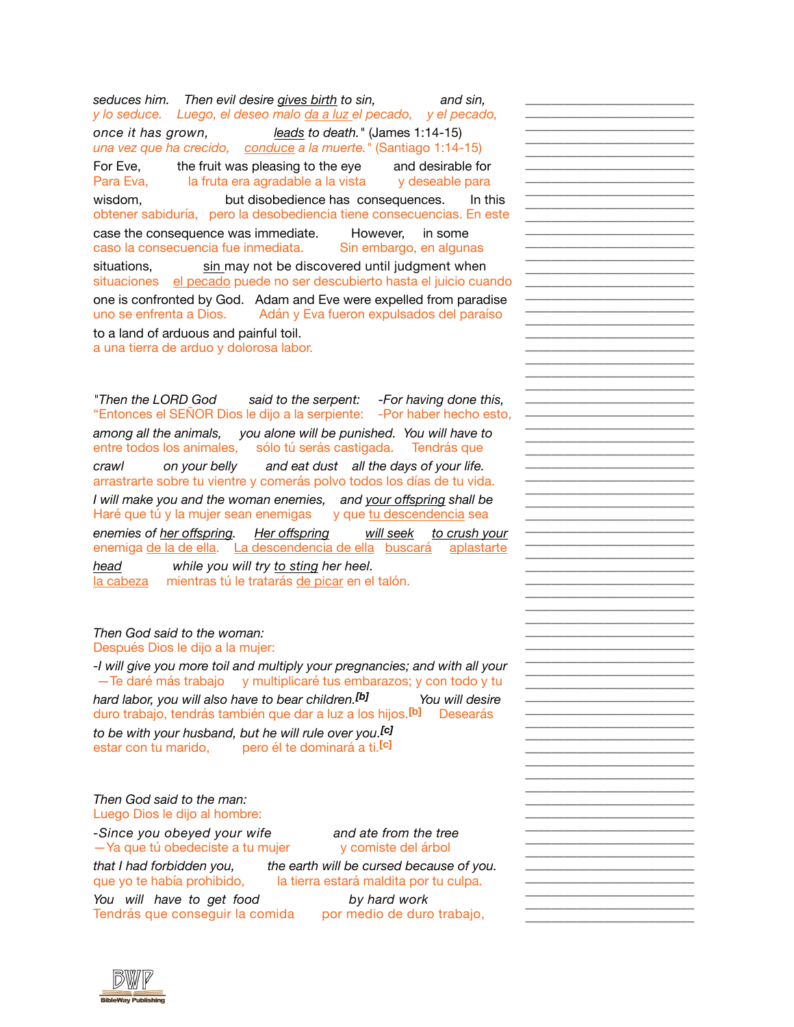*y lo seduce. Luego, el deseo malo da a luz el pecado, y el pecado, una vez que ha crecido, conduce a la muerte."* (Santiago 1:14-15) Para Eva, la fruta era agradable a la vista y deseable para obtener sabiduría, pero la desobediencia tiene consecuencias. En este caso la consecuencia fue inmediata. Sin embargo, en algunas situaciones el pecado puede no ser descubierto hasta el juicio cuando uno se enfrenta a Dios. Adán y Eva fueron expulsados del paraíso *seduces him. Then evil desire gives birth to sin, and sin, once it has grown, leads to death."* (James 1:14-15) For Eve, the fruit was pleasing to the eye and desirable for wisdom, but disobedience has consequences. In this case the consequence was immediate. However, in some situations, sin may not be discovered until judgment when one is confronted by God. Adam and Eve were expelled from paradise to a land of arduous and painful toil.

**\_\_\_\_\_\_\_\_\_\_\_\_\_\_\_\_\_\_\_\_\_\_\_\_\_\_ \_\_\_\_\_\_\_\_\_\_\_\_\_\_\_\_\_\_\_\_\_\_\_\_\_\_ \_\_\_\_\_\_\_\_\_\_\_\_\_\_\_\_\_\_\_\_\_\_\_\_\_\_ \_\_\_\_\_\_\_\_\_\_\_\_\_\_\_\_\_\_\_\_\_\_\_\_\_\_ \_\_\_\_\_\_\_\_\_\_\_\_\_\_\_\_\_\_\_\_\_\_\_\_\_\_ \_\_\_\_\_\_\_\_\_\_\_\_\_\_\_\_\_\_\_\_\_\_\_\_\_\_ \_\_\_\_\_\_\_\_\_\_\_\_\_\_\_\_\_\_\_\_\_\_\_\_\_\_ \_\_\_\_\_\_\_\_\_\_\_\_\_\_\_\_\_\_\_\_\_\_\_\_\_\_ \_\_\_\_\_\_\_\_\_\_\_\_\_\_\_\_\_\_\_\_\_\_\_\_\_\_ \_\_\_\_\_\_\_\_\_\_\_\_\_\_\_\_\_\_\_\_\_\_\_\_\_\_ \_\_\_\_\_\_\_\_\_\_\_\_\_\_\_\_\_\_\_\_\_\_\_\_\_\_ \_\_\_\_\_\_\_\_\_\_\_\_\_\_\_\_\_\_\_\_\_\_\_\_\_\_ \_\_\_\_\_\_\_\_\_\_\_\_\_\_\_\_\_\_\_\_\_\_\_\_\_\_ \_\_\_\_\_\_\_\_\_\_\_\_\_\_\_\_\_\_\_\_\_\_\_\_\_\_ \_\_\_\_\_\_\_\_\_\_\_\_\_\_\_\_\_\_\_\_\_\_\_\_\_\_ \_\_\_\_\_\_\_\_\_\_\_\_\_\_\_\_\_\_\_\_\_\_\_\_\_\_ \_\_\_\_\_\_\_\_\_\_\_\_\_\_\_\_\_\_\_\_\_\_\_\_\_\_ \_\_\_\_\_\_\_\_\_\_\_\_\_\_\_\_\_\_\_\_\_\_\_\_\_\_ \_\_\_\_\_\_\_\_\_\_\_\_\_\_\_\_\_\_\_\_\_\_\_\_\_\_ \_\_\_\_\_\_\_\_\_\_\_\_\_\_\_\_\_\_\_\_\_\_\_\_\_\_ \_\_\_\_\_\_\_\_\_\_\_\_\_\_\_\_\_\_\_\_\_\_\_\_\_\_ \_\_\_\_\_\_\_\_\_\_\_\_\_\_\_\_\_\_\_\_\_\_\_\_\_\_ \_\_\_\_\_\_\_\_\_\_\_\_\_\_\_\_\_\_\_\_\_\_\_\_\_\_ \_\_\_\_\_\_\_\_\_\_\_\_\_\_\_\_\_\_\_\_\_\_\_\_\_\_ \_\_\_\_\_\_\_\_\_\_\_\_\_\_\_\_\_\_\_\_\_\_\_\_\_\_ \_\_\_\_\_\_\_\_\_\_\_\_\_\_\_\_\_\_\_\_\_\_\_\_\_\_ \_\_\_\_\_\_\_\_\_\_\_\_\_\_\_\_\_\_\_\_\_\_\_\_\_\_ \_\_\_\_\_\_\_\_\_\_\_\_\_\_\_\_\_\_\_\_\_\_\_\_\_\_ \_\_\_\_\_\_\_\_\_\_\_\_\_\_\_\_\_\_\_\_\_\_\_\_\_\_ \_\_\_\_\_\_\_\_\_\_\_\_\_\_\_\_\_\_\_\_\_\_\_\_\_\_ \_\_\_\_\_\_\_\_\_\_\_\_\_\_\_\_\_\_\_\_\_\_\_\_\_\_ \_\_\_\_\_\_\_\_\_\_\_\_\_\_\_\_\_\_\_\_\_\_\_\_\_\_ \_\_\_\_\_\_\_\_\_\_\_\_\_\_\_\_\_\_\_\_\_\_\_\_\_\_ \_\_\_\_\_\_\_\_\_\_\_\_\_\_\_\_\_\_\_\_\_\_\_\_\_\_ \_\_\_\_\_\_\_\_\_\_\_\_\_\_\_\_\_\_\_\_\_\_\_\_\_\_ \_\_\_\_\_\_\_\_\_\_\_\_\_\_\_\_\_\_\_\_\_\_\_\_\_\_ \_\_\_\_\_\_\_\_\_\_\_\_\_\_\_\_\_\_\_\_\_\_\_\_\_\_ \_\_\_\_\_\_\_\_\_\_\_\_\_\_\_\_\_\_\_\_\_\_\_\_\_\_ \_\_\_\_\_\_\_\_\_\_\_\_\_\_\_\_\_\_\_\_\_\_\_\_\_\_ \_\_\_\_\_\_\_\_\_\_\_\_\_\_\_\_\_\_\_\_\_\_\_\_\_\_ \_\_\_\_\_\_\_\_\_\_\_\_\_\_\_\_\_\_\_\_\_\_\_\_\_\_ \_\_\_\_\_\_\_\_\_\_\_\_\_\_\_\_\_\_\_\_\_\_\_\_\_\_ \_\_\_\_\_\_\_\_\_\_\_\_\_\_\_\_\_\_\_\_\_\_\_\_\_\_ \_\_\_\_\_\_\_\_\_\_\_\_\_\_\_\_\_\_\_\_\_\_\_\_\_\_ \_\_\_\_\_\_\_\_\_\_\_\_\_\_\_\_\_\_\_\_\_\_\_\_\_\_ \_\_\_\_\_\_\_\_\_\_\_\_\_\_\_\_\_\_\_\_\_\_\_\_\_\_ \_\_\_\_\_\_\_\_\_\_\_\_\_\_\_\_\_\_\_\_\_\_\_\_\_\_ \_\_\_\_\_\_\_\_\_\_\_\_\_\_\_\_\_\_\_\_\_\_\_\_\_\_ \_\_\_\_\_\_\_\_\_\_\_\_\_\_\_\_\_\_\_\_\_\_\_\_\_\_ \_\_\_\_\_\_\_\_\_\_\_\_\_\_\_\_\_\_\_\_\_\_\_\_\_\_ \_\_\_\_\_\_\_\_\_\_\_\_\_\_\_\_\_\_\_\_\_\_\_\_\_\_ \_\_\_\_\_\_\_\_\_\_\_\_\_\_\_\_\_\_\_\_\_\_\_\_\_\_ \_\_\_\_\_\_\_\_\_\_\_\_\_\_\_\_\_\_\_\_\_\_\_\_\_\_ \_\_\_\_\_\_\_\_\_\_\_\_\_\_\_\_\_\_\_\_\_\_\_\_\_\_ \_\_\_\_\_\_\_\_\_\_\_\_\_\_\_\_\_\_\_\_\_\_\_\_\_\_ \_\_\_\_\_\_\_\_\_\_\_\_\_\_\_\_\_\_\_\_\_\_\_\_\_\_ \_\_\_\_\_\_\_\_\_\_\_\_\_\_\_\_\_\_\_\_\_\_\_\_\_\_ \_\_\_\_\_\_\_\_\_\_\_\_\_\_\_\_\_\_\_\_\_\_\_\_\_\_ \_\_\_\_\_\_\_\_\_\_\_\_\_\_\_\_\_\_\_\_\_\_\_\_\_\_ \_\_\_\_\_\_\_\_\_\_\_\_\_\_\_\_\_\_\_\_\_\_\_\_\_\_ \_\_\_\_\_\_\_\_\_\_\_\_\_\_\_\_\_\_\_\_\_\_\_\_\_\_ \_\_\_\_\_\_\_\_\_\_\_\_\_\_\_\_\_\_\_\_\_\_\_\_\_\_ \_\_\_\_\_\_\_\_\_\_\_\_\_\_\_\_\_\_\_\_\_\_\_\_\_\_ \_\_\_\_\_\_\_\_\_\_\_\_\_\_\_\_\_\_\_\_\_\_\_\_\_\_**

a una tierra de arduo y dolorosa labor.

"Entonces el SEÑOR Dios le dijo a la serpiente: -Por haber hecho esto, entre todos los animales, sólo tú serás castigada. Tendrás que arrastrarte sobre tu vientre y comerás polvo todos los días de tu vida. Haré que tú y la mujer sean enemigas y que tu descendencia sea enemiga de la de ella. La descendencia de ella buscará aplastarte la cabeza mientras tú le tratarás de picar en el talón. *"Then the LORD God said to the serpent: -For having done this, among all the animals, you alone will be punished. You will have to crawl on your belly and eat dust all the days of your life. I will make you and the woman enemies, and your offspring shall be enemies of her offspring. Her offspring will seek to crush your head while you will try to sting her heel.*

## *Then God said to the woman:*

Después Dios le dijo a la mujer:

—Te daré más trabajo y multiplicaré tus embarazos; y con todo y tu duro trabajo, tendrás también que dar a luz a los hijos.**[b]** Desearás estar con tu marido, pero él te dominará a ti.**[c]** *-I will give you more toil and multiply your pregnancies; and with all your hard labor, you will also have to bear children.[b] You will desire to be with your husband, but he will rule over you.[c]*

Luego Dios le dijo al hombre: *Then God said to the man:*

—Ya que tú obedeciste a tu mujer y comiste del árbol *-Since you obeyed your wife and ate from the tree*

que yo te había prohibido, la tierra estará maldita por tu culpa.

*that I had forbidden you, the earth will be cursed because of you.*

Tendrás que conseguir la comida por medio de duro trabajo, *You will have to get food by hard work*